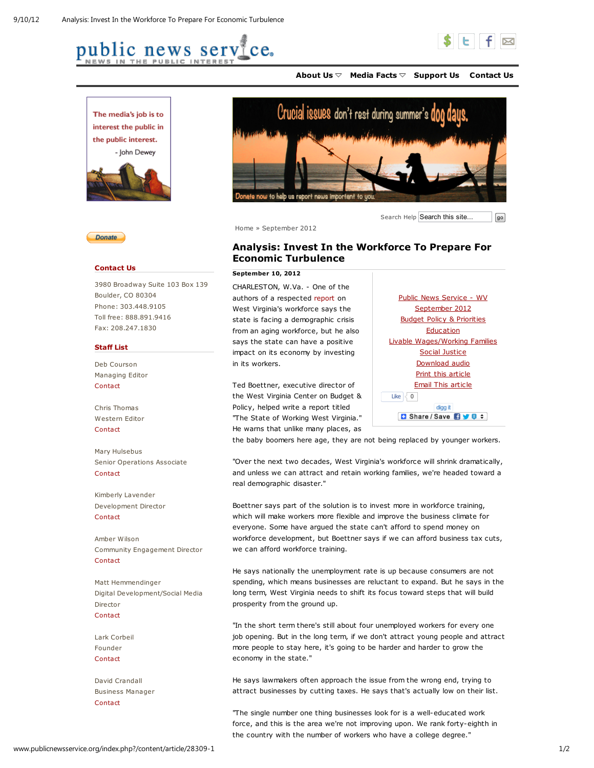





Home » September 2012

September 10, 2012

in its workers.

Economic Turbulence

CHARLESTON, W.Va. - One of the authors of a respected report on West Virginia's workforce says the state is facing a demographic crisis from an aging workforce, but he also says the state can have a positive impact on its economy by investing

Ted Boettner, executive director of the West Virginia Center on Budget & Policy, helped write a report titled "The State of Working West Virginia." He warns that unlike many places, as



Analysis: Invest In the Workforce To Prepare For

Search Help Search this site...  $\sqrt{\int_{\mathcal{G}^0}$ 

Support Us Contact Us About Us Media Facts



## Contact Us

3980 Broadway Suite 103 Box 139 Boulder, CO 80304 Phone: 303.448.9105 Toll free: 888.891.9416 Fax: 208.247.1830

## Staff List

Deb Courson Managing Editor **Contact** 

Chris Thomas Western Editor **Contact** 

Mary Hulsebus Senior Operations Associate **Contact** 

Kimberly Lavender Development Director Contact

Amber Wilson Community Engagement Director **Contact** 

Matt Hemmendinger Digital Development/Social Media **Director** Contact

Lark Corbeil Founder Contact

David Crandall Business Manager Contact

Public News Service - WV September 2012 Budget Policy & Priorities **Education** Livable Wages/Working Families Social Justice Download audio Print this article Email This article Like  $\sqrt{0}$ digg it **B** Share / Save **By 8** =

the baby boomers here age, they are not being replaced by younger workers.

"Over the next two decades, West Virginia's workforce will shrink dramatically, and unless we can attract and retain working families, we're headed toward a real demographic disaster."

Boettner says part of the solution is to invest more in workforce training, which will make workers more flexible and improve the business climate for everyone. Some have argued the state can't afford to spend money on workforce development, but Boettner says if we can afford business tax cuts, we can afford workforce training.

He says nationally the unemployment rate is up because consumers are not spending, which means businesses are reluctant to expand. But he says in the long term, West Virginia needs to shift its focus toward steps that will build prosperity from the ground up.

"In the short term there's still about four unemployed workers for every one job opening. But in the long term, if we don't attract young people and attract more people to stay here, it's going to be harder and harder to grow the economy in the state."

He says lawmakers often approach the issue from the wrong end, trying to attract businesses by cutting taxes. He says that's actually low on their list.

"The single number one thing businesses look for is a well-educated work force, and this is the area we're not improving upon. We rank forty-eighth in the country with the number of workers who have a college degree."